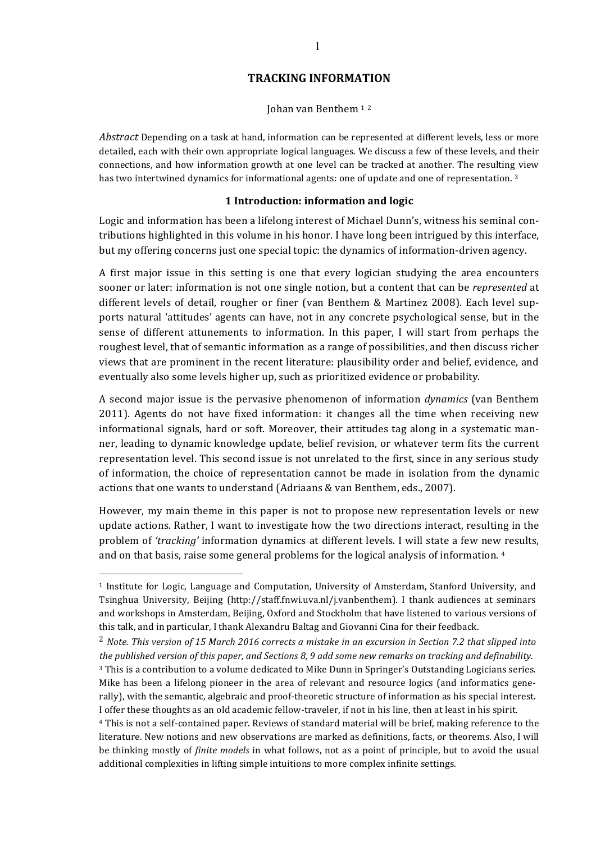# **TRACKING INFORMATION**

Johan van Benthem <sup>1</sup> <sup>2</sup>

*Abstract* Depending on a task at hand, information can be represented at different levels, less or more detailed, each with their own appropriate logical languages. We discuss a few of these levels, and their connections, and how information growth at one level can be tracked at another. The resulting view has two intertwined dynamics for informational agents: one of update and one of representation.<sup>3</sup>

#### **1 Introduction: information and logic**

Logic and information has been a lifelong interest of Michael Dunn's, witness his seminal contributions highlighted in this volume in his honor. I have long been intrigued by this interface, but my offering concerns just one special topic: the dynamics of information-driven agency.

A first major issue in this setting is one that every logician studying the area encounters sooner or later: information is not one single notion, but a content that can be *represented* at different levels of detail, rougher or finer (van Benthem & Martinez 2008). Each level supports natural 'attitudes' agents can have, not in any concrete psychological sense, but in the sense of different attunements to information. In this paper, I will start from perhaps the roughest level, that of semantic information as a range of possibilities, and then discuss richer views that are prominent in the recent literature: plausibility order and belief, evidence, and eventually also some levels higher up, such as prioritized evidence or probability.

A second major issue is the pervasive phenomenon of information *dynamics* (van Benthem 2011). Agents do not have fixed information: it changes all the time when receiving new informational signals, hard or soft. Moreover, their attitudes tag along in a systematic manner, leading to dynamic knowledge update, belief revision, or whatever term fits the current representation level. This second issue is not unrelated to the first, since in any serious study of information, the choice of representation cannot be made in isolation from the dynamic actions that one wants to understand (Adriaans & van Benthem, eds., 2007).

However, my main theme in this paper is not to propose new representation levels or new update actions. Rather, I want to investigate how the two directions interact, resulting in the problem of 'tracking' information dynamics at different levels. I will state a few new results, and on that basis, raise some general problems for the logical analysis of information.  $4$ 

 $<sup>1</sup>$  Institute for Logic, Language and Computation, University of Amsterdam, Stanford University, and</sup> Tsinghua University, Beijing (http://staff.fnwi.uva.nl/j.vanbenthem). I thank audiences at seminars and workshops in Amsterdam, Beijing, Oxford and Stockholm that have listened to various versions of this talk, and in particular, I thank Alexandru Baltag and Giovanni Cina for their feedback.

<sup>&</sup>lt;sup>2</sup> Note. This version of 15 March 2016 corrects a mistake in an excursion in Section 7.2 that slipped into *the published version of this paper, and Sections 8, 9 add some new remarks on tracking and definability.* 

<sup>&</sup>lt;sup>3</sup> This is a contribution to a volume dedicated to Mike Dunn in Springer's Outstanding Logicians series. Mike has been a lifelong pioneer in the area of relevant and resource logics (and informatics generally), with the semantic, algebraic and proof-theoretic structure of information as his special interest. I offer these thoughts as an old academic fellow-traveler, if not in his line, then at least in his spirit.

<sup>&</sup>lt;sup>4</sup> This is not a self-contained paper. Reviews of standard material will be brief, making reference to the literature. New notions and new observations are marked as definitions, facts, or theorems. Also, I will be thinking mostly of *finite models* in what follows, not as a point of principle, but to avoid the usual additional complexities in lifting simple intuitions to more complex infinite settings.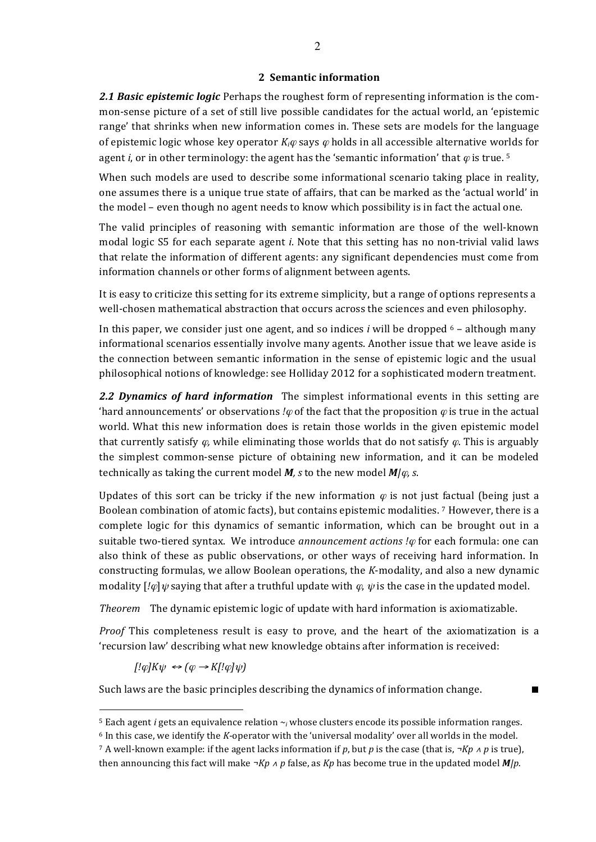### **2 Semantic information**

**2.1 Basic epistemic logic** Perhaps the roughest form of representing information is the common-sense picture of a set of still live possible candidates for the actual world, an 'epistemic range' that shrinks when new information comes in. These sets are models for the language of epistemic logic whose key operator  $K_i\varphi$  says  $\varphi$  holds in all accessible alternative worlds for agent *i*, or in other terminology: the agent has the 'semantic information' that  $\varphi$  is true. <sup>5</sup>

When such models are used to describe some informational scenario taking place in reality, one assumes there is a unique true state of affairs, that can be marked as the 'actual world' in the model – even though no agent needs to know which possibility is in fact the actual one.

The valid principles of reasoning with semantic information are those of the well-known modal logic S5 for each separate agent *i*. Note that this setting has no non-trivial valid laws that relate the information of different agents: any significant dependencies must come from information channels or other forms of alignment between agents.

It is easy to criticize this setting for its extreme simplicity, but a range of options represents a well-chosen mathematical abstraction that occurs across the sciences and even philosophy.

In this paper, we consider just one agent, and so indices *i* will be dropped  $6 -$  although many informational scenarios essentially involve many agents. Another issue that we leave aside is the connection between semantic information in the sense of epistemic logic and the usual philosophical notions of knowledge: see Holliday 2012 for a sophisticated modern treatment.

**2.2 Dynamics of hard information** The simplest informational events in this setting are 'hard announcements' or observations *!* $\varphi$  of the fact that the proposition  $\varphi$  is true in the actual world. What this new information does is retain those worlds in the given epistemic model that currently satisfy  $\varphi$ , while eliminating those worlds that do not satisfy  $\varphi$ . This is arguably the simplest common-sense picture of obtaining new information, and it can be modeled technically as taking the current model  $M$ , s to the new model  $M/\varphi$ , s.

Updates of this sort can be tricky if the new information  $\varphi$  is not just factual (being just a Boolean combination of atomic facts), but contains epistemic modalities. <sup>7</sup> However, there is a complete logic for this dynamics of semantic information, which can be brought out in a suitable two-tiered syntax. We introduce *announcement actions !* $\varphi$  for each formula: one can also think of these as public observations, or other ways of receiving hard information. In constructing formulas, we allow Boolean operations, the *K*-modality, and also a new dynamic modality  $\left[i\omega\right]\psi$  saying that after a truthful update with  $\omega$ ,  $\psi$  is the case in the updated model.

*Theorem* The dynamic epistemic logic of update with hard information is axiomatizable.

*Proof* This completeness result is easy to prove, and the heart of the axiomatization is a 'recursion law' describing what new knowledge obtains after information is received:

 $[$ ! $\varphi$ *]K* $\psi \leftrightarrow (\varphi \rightarrow K$ [! $\varphi$ ] $\psi$  $)$ 

 $\overline{a}$ 

Such laws are the basic principles describing the dynamics of information change.  $\blacksquare$ 

 $5$  Each agent *i* gets an equivalence relation  $\sim$ *i* whose clusters encode its possible information ranges.

 $6$  In this case, we identify the *K*-operator with the 'universal modality' over all worlds in the model.

<sup>7</sup> A well-known example: if the agent lacks information if p, but p is the case (that is,  $\neg Kp \wedge p$  is true), then announcing this fact will make  $\neg Kp \wedge p$  false, as  $Kp$  has become true in the updated model  $M/p$ .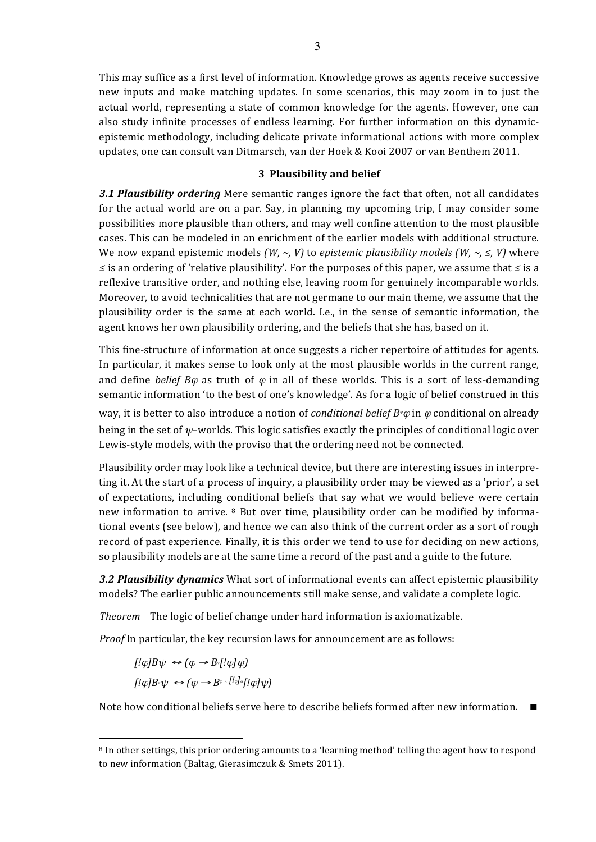This may suffice as a first level of information. Knowledge grows as agents receive successive new inputs and make matching updates. In some scenarios, this may zoom in to just the actual world, representing a state of common knowledge for the agents. However, one can also study infinite processes of endless learning. For further information on this dynamicepistemic methodology, including delicate private informational actions with more complex updates, one can consult van Ditmarsch, van der Hoek & Kooi 2007 or van Benthem 2011.

#### **3 Plausibility and belief**

**3.1 Plausibility ordering** Mere semantic ranges ignore the fact that often, not all candidates for the actual world are on a par. Say, in planning my upcoming trip, I may consider some possibilities more plausible than others, and may well confine attention to the most plausible cases. This can be modeled in an enrichment of the earlier models with additional structure. We now expand epistemic models  $(W, \sim, V)$  to *epistemic plausibility models*  $(W, \sim, \leq, V)$  where *≤* is an ordering of 'relative plausibility'. For the purposes of this paper, we assume that *≤* is a reflexive transitive order, and nothing else, leaving room for genuinely incomparable worlds. Moreover, to avoid technicalities that are not germane to our main theme, we assume that the plausibility order is the same at each world. I.e., in the sense of semantic information, the agent knows her own plausibility ordering, and the beliefs that she has, based on it.

This fine-structure of information at once suggests a richer repertoire of attitudes for agents. In particular, it makes sense to look only at the most plausible worlds in the current range, and define *belief*  $B\varphi$  as truth of  $\varphi$  in all of these worlds. This is a sort of less-demanding semantic information 'to the best of one's knowledge'. As for a logic of belief construed in this way, it is better to also introduce a notion of *conditional belief*  $B^{\psi}\varphi$  in  $\varphi$  conditional on already being in the set of  $\psi$ -worlds. This logic satisfies exactly the principles of conditional logic over

Plausibility order may look like a technical device, but there are interesting issues in interpreting it. At the start of a process of inquiry, a plausibility order may be viewed as a 'prior', a set of expectations, including conditional beliefs that say what we would believe were certain new information to arrive.  $8$  But over time, plausibility order can be modified by informational events (see below), and hence we can also think of the current order as a sort of rough record of past experience. Finally, it is this order we tend to use for deciding on new actions, so plausibility models are at the same time a record of the past and a guide to the future.

**3.2 Plausibility dynamics** What sort of informational events can affect epistemic plausibility models? The earlier public announcements still make sense, and validate a complete logic.

*Theorem* The logic of belief change under hard information is axiomatizable.

Lewis-style models, with the proviso that the ordering need not be connected.

*Proof* In particular, the key recursion laws for announcement are as follows:

 $[$ ! $\omega$ *B* $\psi \leftrightarrow$   $(\omega \rightarrow B \cdot$ [! $\omega$ *]* $\psi$ *)*  $[!\varphi]B \circ \psi \iff (\varphi \to B^{\varphi} \circ [!\varphi] \circ [!\varphi] \psi)$ 

 $\overline{a}$ 

Note how conditional beliefs serve here to describe beliefs formed after new information.  $\blacksquare$ 

<sup>&</sup>lt;sup>8</sup> In other settings, this prior ordering amounts to a 'learning method' telling the agent how to respond to new information (Baltag, Gierasimczuk & Smets 2011).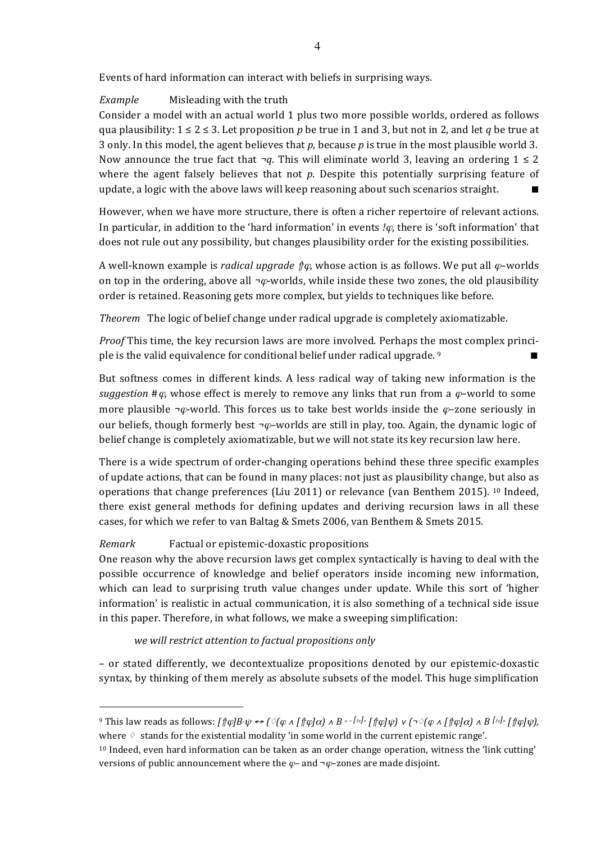Events of hard information can interact with beliefs in surprising ways.

*Example* Misleading with the truth

Consider a model with an actual world 1 plus two more possible worlds, ordered as follows qua plausibility:  $1 \le 2 \le 3$ . Let proposition *p* be true in 1 and 3, but not in 2, and let *q* be true at 3 only. In this model, the agent believes that *p*, because *p* is true in the most plausible world 3. Now announce the true fact that  $\neg q$ . This will eliminate world 3, leaving an ordering  $1 \le 2$ where the agent falsely believes that not  $p$ . Despite this potentially surprising feature of update, a logic with the above laws will keep reasoning about such scenarios straight.

However, when we have more structure, there is often a richer repertoire of relevant actions. In particular, in addition to the 'hard information' in events  $\ell\varphi$ , there is 'soft information' that does not rule out any possibility, but changes plausibility order for the existing possibilities.

A well-known example is *radical upgrade*  $\hat{\phi}$  $\varphi$ *,* whose action is as follows. We put all  $\varphi$ -worlds on top in the ordering, above all  $\neg \varphi$ -worlds, while inside these two zones, the old plausibility order is retained. Reasoning gets more complex, but yields to techniques like before.

*Theorem* The logic of belief change under radical upgrade is completely axiomatizable.

*Proof* This time, the key recursion laws are more involved. Perhaps the most complex principle is the valid equivalence for conditional belief under radical upgrade. <sup>9</sup>

But softness comes in different kinds. A less radical way of taking new information is the *suggestion*  $\#\varphi$ , whose effect is merely to remove any links that run from a  $\varphi$ -world to some more plausible  $\neg \varphi$ -world. This forces us to take best worlds inside the  $\varphi$ -zone seriously in our beliefs, though formerly best  $\neg \varphi$ –worlds are still in play, too. Again, the dynamic logic of belief change is completely axiomatizable, but we will not state its key recursion law here.

There is a wide spectrum of order-changing operations behind these three specific examples of update actions, that can be found in many places: not just as plausibility change, but also as operations that change preferences (Liu 2011) or relevance (van Benthem 2015). <sup>10</sup> Indeed, there exist general methods for defining updates and deriving recursion laws in all these cases, for which we refer to van Baltag & Smets 2006, van Benthem & Smets 2015.

# *Remark* **Factual or epistemic-doxastic propositions**

 $\overline{a}$ 

One reason why the above recursion laws get complex syntactically is having to deal with the possible occurrence of knowledge and belief operators inside incoming new information, which can lead to surprising truth value changes under update. While this sort of 'higher information' is realistic in actual communication, it is also something of a technical side issue in this paper. Therefore, in what follows, we make a sweeping simplification:

we will restrict attention to factual propositions only

– or stated differently, we decontextualize propositions denoted by our epistemic-doxastic syntax, by thinking of them merely as absolute subsets of the model. This huge simplification

<sup>&</sup>lt;sup>9</sup> This law reads as follows:  $\int \int \phi B \cdot \psi \leftrightarrow (\sqrt{\phi} \wedge \int \int \phi \, d\alpha) \wedge B \sqrt{\phi} \cdot \int \int \phi \, d\psi$   $\vee$   $(\neg \sqrt{\phi} \wedge \int \int \phi \, d\alpha) \wedge B \sqrt{\phi} \cdot \int \int \phi \, d\psi$ , where  $\Diamond$  stands for the existential modality 'in some world in the current epistemic range'.

<sup>&</sup>lt;sup>10</sup> Indeed, even hard information can be taken as an order change operation, witness the 'link cutting' versions of public announcement where the  $\varphi$ – and  $\neg \varphi$ –zones are made disjoint.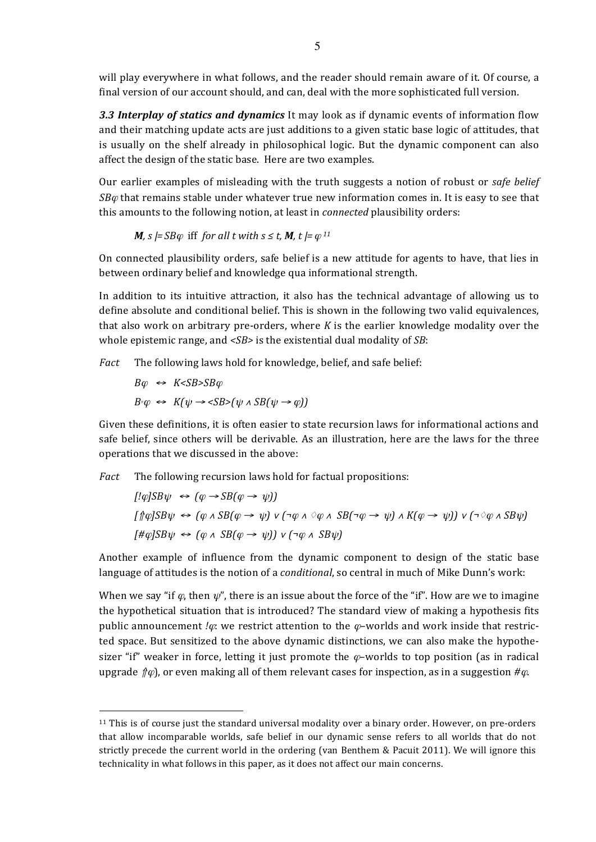will play everywhere in what follows, and the reader should remain aware of it. Of course, a final version of our account should, and can, deal with the more sophisticated full version.

**3.3 Interplay of statics and dynamics** It may look as if dynamic events of information flow and their matching update acts are just additions to a given static base logic of attitudes, that is usually on the shelf already in philosophical logic. But the dynamic component can also affect the design of the static base. Here are two examples.

Our earlier examples of misleading with the truth suggests a notion of robust or *safe belief*  $SB\varphi$  that remains stable under whatever true new information comes in. It is easy to see that this amounts to the following notion, at least in *connected* plausibility orders:

**M**, 
$$
s = SB\varphi
$$
 iff for all  $t$  with  $s \leq t$ , **M**,  $t = \varphi^{11}$ 

On connected plausibility orders, safe belief is a new attitude for agents to have, that lies in between ordinary belief and knowledge qua informational strength.

In addition to its intuitive attraction, it also has the technical advantage of allowing us to define absolute and conditional belief. This is shown in the following two valid equivalences, that also work on arbitrary pre-orders, where  $K$  is the earlier knowledge modality over the whole epistemic range, and  $\langle SB \rangle$  is the existential dual modality of *SB*:

*Fact* The following laws hold for knowledge, belief, and safe belief:

$$
B\varphi \iff K < SB > SB\varphi
$$
\n
$$
B^* \varphi \iff K(\psi \to < SB > \psi \land SB(\psi \to \varphi))
$$

 $\overline{a}$ 

Given these definitions, it is often easier to state recursion laws for informational actions and safe belief, since others will be derivable. As an illustration, here are the laws for the three operations that we discussed in the above:

*Fact* The following recursion laws hold for factual propositions:

$$
[! \varphi] SB\psi \leftrightarrow (\varphi \rightarrow SB(\varphi \rightarrow \psi))
$$
  

$$
[ \varphi] SB\psi \leftrightarrow (\varphi \land SB(\varphi \rightarrow \psi) \lor (\neg \varphi \land \Diamond \varphi \land SB(\neg \varphi \rightarrow \psi) \land K(\varphi \rightarrow \psi)) \lor (\neg \Diamond \varphi \land SB\psi)
$$
  

$$
[ \#\varphi] SB\psi \leftrightarrow (\varphi \land SB(\varphi \rightarrow \psi)) \lor (\neg \varphi \land SB\psi)
$$

Another example of influence from the dynamic component to design of the static base language of attitudes is the notion of a *conditional*, so central in much of Mike Dunn's work:

When we say "if  $\varphi$ , then  $\psi$ ", there is an issue about the force of the "if". How are we to imagine the hypothetical situation that is introduced? The standard view of making a hypothesis fits public announcement *!* $\varphi$ : we restrict attention to the  $\varphi$ -worlds and work inside that restricted space. But sensitized to the above dynamic distinctions, we can also make the hypothesizer "if" weaker in force, letting it just promote the  $\varphi$ -worlds to top position (as in radical upgrade  $f(\varphi)$ , or even making all of them relevant cases for inspection, as in a suggestion  $\#\varphi$ .

<sup>&</sup>lt;sup>11</sup> This is of course just the standard universal modality over a binary order. However, on pre-orders that allow incomparable worlds, safe belief in our dynamic sense refers to all worlds that do not strictly precede the current world in the ordering (van Benthem & Pacuit 2011). We will ignore this technicality in what follows in this paper, as it does not affect our main concerns.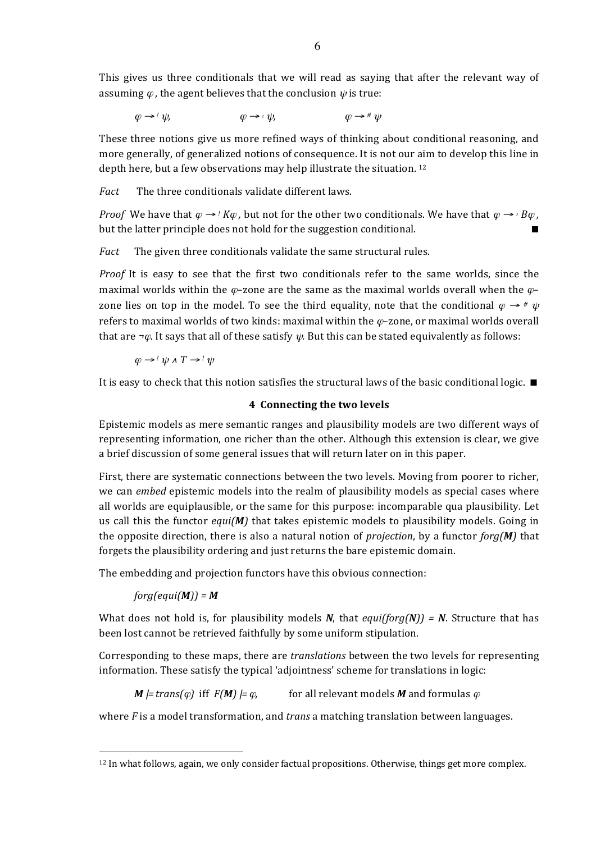This gives us three conditionals that we will read as saying that after the relevant way of assuming  $\varphi$ , the agent believes that the conclusion  $\psi$  is true:

 $\varphi \rightarrow ' \psi,$   $\varphi \rightarrow ' \psi,$   $\varphi \rightarrow ' \psi,$   $\varphi \rightarrow ' \psi$ 

These three notions give us more refined ways of thinking about conditional reasoning, and more generally, of generalized notions of consequence. It is not our aim to develop this line in depth here, but a few observations may help illustrate the situation. <sup>12</sup>

*Fact* The three conditionals validate different laws.

*Proof* We have that  $\varphi \rightarrow$  *! K* $\varphi$ , but not for the other two conditionals. We have that  $\varphi \rightarrow$  <sub>*B* $\varphi$ </sub>, but the latter principle does not hold for the suggestion conditional.

*Fact* The given three conditionals validate the same structural rules.

*Proof* It is easy to see that the first two conditionals refer to the same worlds, since the maximal worlds within the  $\varphi$ -zone are the same as the maximal worlds overall when the  $\varphi$ zone lies on top in the model. To see the third equality, note that the conditional  $\varphi \rightarrow \pi \psi$ refers to maximal worlds of two kinds: maximal within the  $\varphi$ -zone, or maximal worlds overall that are  $\neg \varphi$ . It says that all of these satisfy  $\psi$ . But this can be stated equivalently as follows:

 $\varphi \rightarrow ' \psi \land T \rightarrow ' \psi$ 

It is easy to check that this notion satisfies the structural laws of the basic conditional logic.  $\blacksquare$ 

### **4** Connecting the two levels

Epistemic models as mere semantic ranges and plausibility models are two different ways of representing information, one richer than the other. Although this extension is clear, we give a brief discussion of some general issues that will return later on in this paper.

First, there are systematic connections between the two levels. Moving from poorer to richer, we can *embed* epistemic models into the realm of plausibility models as special cases where all worlds are equiplausible, or the same for this purpose: incomparable qua plausibility. Let us call this the functor  $equi(M)$  that takes epistemic models to plausibility models. Going in the opposite direction, there is also a natural notion of *projection*, by a functor *forg(M)* that forgets the plausibility ordering and just returns the bare epistemic domain.

The embedding and projection functors have this obvious connection:

 $forg(equi(M)) = M$ 

 $\overline{a}$ 

What does not hold is, for plausibility models *N*, that  $equiforg(N)$  = *N*. Structure that has been lost cannot be retrieved faithfully by some uniform stipulation.

Corresponding to these maps, there are *translations* between the two levels for representing information. These satisfy the typical 'adjointness' scheme for translations in logic:

*M*  $|=$  *trans(* $\varphi$ *)* iff  $F(M) \models \varphi$ , for all relevant models *M* and formulas  $\varphi$ 

where *F* is a model transformation, and *trans* a matching translation between languages.

 $12$  In what follows, again, we only consider factual propositions. Otherwise, things get more complex.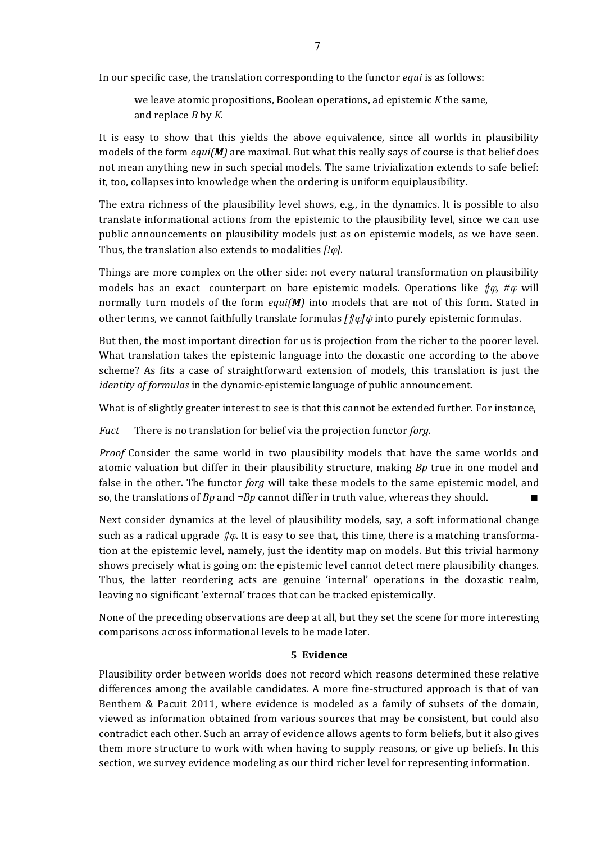In our specific case, the translation corresponding to the functor *equi* is as follows:

we leave atomic propositions, Boolean operations, ad epistemic *K* the same, and replace *B* by *K*.

It is easy to show that this yields the above equivalence, since all worlds in plausibility models of the form  $equi(M)$  are maximal. But what this really says of course is that belief does not mean anything new in such special models. The same trivialization extends to safe belief: it, too, collapses into knowledge when the ordering is uniform equiplausibility.

The extra richness of the plausibility level shows, e.g., in the dynamics. It is possible to also translate informational actions from the epistemic to the plausibility level, since we can use public announcements on plausibility models just as on epistemic models, as we have seen. Thus, the translation also extends to modalities [! $\varphi$ ].

Things are more complex on the other side: not every natural transformation on plausibility models has an exact counterpart on bare epistemic models. Operations like  $\oint \varphi$ , # $\varphi$  will normally turn models of the form *equi(M)* into models that are not of this form. Stated in other terms, we cannot faithfully translate formulas  $\int \phi \psi$  into purely epistemic formulas.

But then, the most important direction for us is projection from the richer to the poorer level. What translation takes the epistemic language into the doxastic one according to the above scheme? As fits a case of straightforward extension of models, this translation is just the *identity of formulas* in the dynamic-epistemic language of public announcement.

What is of slightly greater interest to see is that this cannot be extended further. For instance,

*Fact* There is no translation for belief via the projection functor forg.

*Proof* Consider the same world in two plausibility models that have the same worlds and atomic valuation but differ in their plausibility structure, making *Bp* true in one model and false in the other. The functor *forg* will take these models to the same epistemic model, and so, the translations of *Bp* and  $\neg$ *Bp* cannot differ in truth value, whereas they should.

Next consider dynamics at the level of plausibility models, say, a soft informational change such as a radical upgrade  $\hat{p}\varphi$ . It is easy to see that, this time, there is a matching transformation at the epistemic level, namely, just the identity map on models. But this trivial harmony shows precisely what is going on: the epistemic level cannot detect mere plausibility changes. Thus, the latter reordering acts are genuine 'internal' operations in the doxastic realm, leaving no significant 'external' traces that can be tracked epistemically.

None of the preceding observations are deep at all, but they set the scene for more interesting comparisons across informational levels to be made later.

### **5 Evidence**

Plausibility order between worlds does not record which reasons determined these relative differences among the available candidates. A more fine-structured approach is that of van Benthem & Pacuit 2011, where evidence is modeled as a family of subsets of the domain, viewed as information obtained from various sources that may be consistent, but could also contradict each other. Such an array of evidence allows agents to form beliefs, but it also gives them more structure to work with when having to supply reasons, or give up beliefs. In this section, we survey evidence modeling as our third richer level for representing information.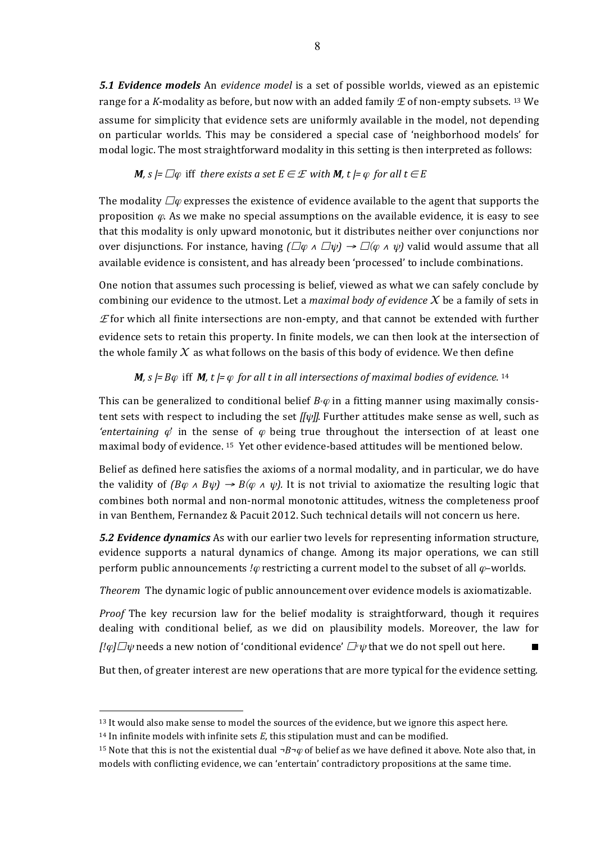**5.1 Evidence models** An evidence model is a set of possible worlds, viewed as an epistemic range for a *K*-modality as before, but now with an added family  $E$  of non-empty subsets. <sup>13</sup> We assume for simplicity that evidence sets are uniformly available in the model, not depending on particular worlds. This may be considered a special case of 'neighborhood models' for modal logic. The most straightforward modality in this setting is then interpreted as follows:

### *M, s*  $\models$   $\Box \varphi$  iff there exists a set  $E \in \mathcal{E}$  with *M,*  $t \models \varphi$  for all  $t \in E$

The modality  $\Box \varphi$  expresses the existence of evidence available to the agent that supports the proposition  $\varphi$ . As we make no special assumptions on the available evidence, it is easy to see that this modality is only upward monotonic, but it distributes neither over conjunctions nor over disjunctions. For instance, having  $(\Box \varphi \land \Box \psi) \rightarrow \Box (\varphi \land \psi)$  valid would assume that all available evidence is consistent, and has already been 'processed' to include combinations.

One notion that assumes such processing is belief, viewed as what we can safely conclude by combining our evidence to the utmost. Let a *maximal body* of evidence  $X$  be a family of sets in  $E$  for which all finite intersections are non-empty, and that cannot be extended with further evidence sets to retain this property. In finite models, we can then look at the intersection of the whole family  $X$  as what follows on the basis of this body of evidence. We then define

## *M*,  $s \models B\varphi$  iff *M*,  $t \models \varphi$  for all t in all intersections of maximal bodies of evidence. <sup>14</sup>

This can be generalized to conditional belief  $B<sup>∗</sup>$   $\varphi$  in a fitting manner using maximally consistent sets with respect to including the set  $[[\psi]]$ . Further attitudes make sense as well, such as *'entertaining*  $\varphi$ ' in the sense of  $\varphi$  being true throughout the intersection of at least one maximal body of evidence. <sup>15</sup> Yet other evidence-based attitudes will be mentioned below.

Belief as defined here satisfies the axioms of a normal modality, and in particular, we do have the validity of  $(B\varphi \wedge B\psi) \rightarrow B(\varphi \wedge \psi)$ . It is not trivial to axiomatize the resulting logic that combines both normal and non-normal monotonic attitudes, witness the completeness proof in van Benthem, Fernandez & Pacuit 2012. Such technical details will not concern us here.

**5.2 Evidence dynamics** As with our earlier two levels for representing information structure, evidence supports a natural dynamics of change. Among its major operations, we can still perform public announcements *!* $\varphi$  restricting a current model to the subset of all  $\varphi$ -worlds.

*Theorem* The dynamic logic of public announcement over evidence models is axiomatizable.

*Proof* The key recursion law for the belief modality is straightforward, though it requires dealing with conditional belief, as we did on plausibility models. Moreover, the law for  $[$ ! $\varphi$ ] $\Box \psi$  needs a new notion of 'conditional evidence'  $\Box^* \psi$  that we do not spell out here.

But then, of greater interest are new operations that are more typical for the evidence setting.

<sup>&</sup>lt;sup>13</sup> It would also make sense to model the sources of the evidence, but we ignore this aspect here.

<sup>&</sup>lt;sup>14</sup> In infinite models with infinite sets  $E$ , this stipulation must and can be modified.

<sup>&</sup>lt;sup>15</sup> Note that this is not the existential dual  $\neg B\neg\varphi$  of belief as we have defined it above. Note also that, in models with conflicting evidence, we can 'entertain' contradictory propositions at the same time.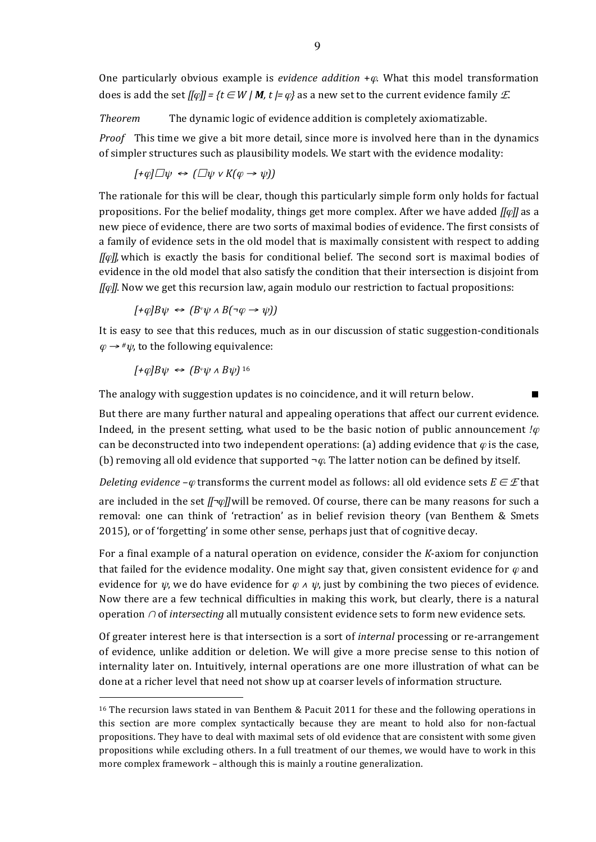One particularly obvious example is *evidence addition* + $\varphi$ . What this model transformation does is add the set  $[[\varphi]] = \{t \in W \mid M, t \models \varphi\}$  as a new set to the current evidence family *E*.

*Theorem* The dynamic logic of evidence addition is completely axiomatizable.

*Proof* This time we give a bit more detail, since more is involved here than in the dynamics of simpler structures such as plausibility models. We start with the evidence modality:

$$
[+\varphi]\Box\psi \Leftrightarrow (\Box\psi \vee K(\varphi \rightarrow \psi))
$$

The rationale for this will be clear, though this particularly simple form only holds for factual propositions. For the belief modality, things get more complex. After we have added *[[* $\varphi$ *]]* as a new piece of evidence, there are two sorts of maximal bodies of evidence. The first consists of a family of evidence sets in the old model that is maximally consistent with respect to adding *[[* $\varphi$ *]]*, which is exactly the basis for conditional belief. The second sort is maximal bodies of evidence in the old model that also satisfy the condition that their intersection is disjoint from *[[* $\varphi$ *]]*. Now we get this recursion law, again modulo our restriction to factual propositions:

 $[+ \varphi B \psi \leftrightarrow (B^* \psi \wedge B(\neg \varphi \rightarrow \psi))$ 

It is easy to see that this reduces, much as in our discussion of static suggestion-conditionals  $\varphi \rightarrow \psi$ , to the following equivalence:

 $[FeOB\Psi \leftrightarrow (B^{\varphi}\Psi \wedge B\Psi)]^{16}$ 

 $\overline{a}$ 

The analogy with suggestion updates is no coincidence, and it will return below.

But there are many further natural and appealing operations that affect our current evidence. Indeed, in the present setting, what used to be the basic notion of public announcement  $\varphi$ can be deconstructed into two independent operations: (a) adding evidence that  $\varphi$  is the case, (b) removing all old evidence that supported  $\neg \varphi$ . The latter notion can be defined by itself.

*Deleting* evidence  $-\varphi$  transforms the current model as follows: all old evidence sets  $E \in \mathcal{E}$  that are included in the set *[[¬* $\phi$ *]*] will be removed. Of course, there can be many reasons for such a removal: one can think of 'retraction' as in belief revision theory (van Benthem & Smets 2015), or of 'forgetting' in some other sense, perhaps just that of cognitive decay.

For a final example of a natural operation on evidence, consider the *K*-axiom for conjunction that failed for the evidence modality. One might say that, given consistent evidence for  $\varphi$  and evidence for  $\psi$ , we do have evidence for  $\varphi \wedge \psi$ , just by combining the two pieces of evidence. Now there are a few technical difficulties in making this work, but clearly, there is a natural operation ∩ of *intersecting* all mutually consistent evidence sets to form new evidence sets.

Of greater interest here is that intersection is a sort of *internal* processing or re-arrangement of evidence, unlike addition or deletion. We will give a more precise sense to this notion of internality later on. Intuitively, internal operations are one more illustration of what can be done at a richer level that need not show up at coarser levels of information structure.

<sup>&</sup>lt;sup>16</sup> The recursion laws stated in van Benthem & Pacuit 2011 for these and the following operations in this section are more complex syntactically because they are meant to hold also for non-factual propositions. They have to deal with maximal sets of old evidence that are consistent with some given propositions while excluding others. In a full treatment of our themes, we would have to work in this more complex framework  $-$  although this is mainly a routine generalization.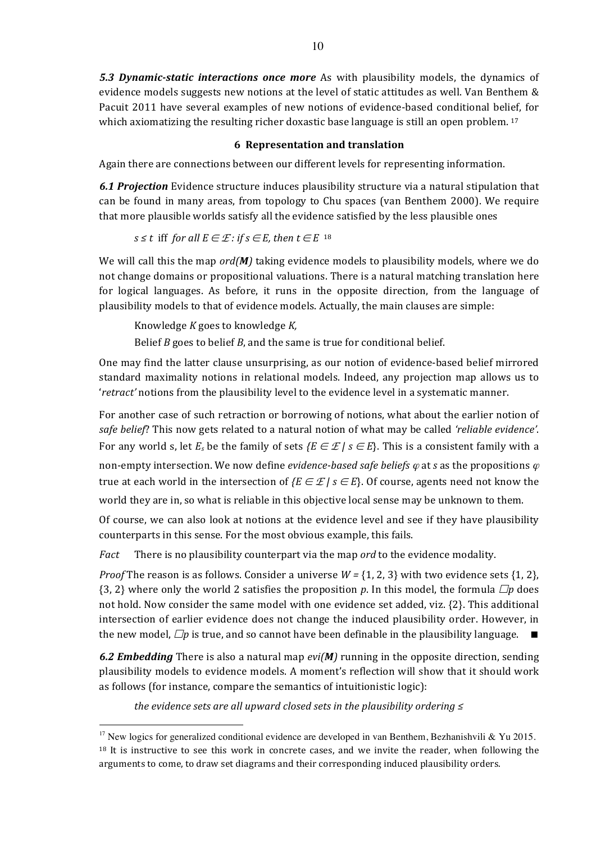**5.3 Dynamic-static interactions once more** As with plausibility models, the dynamics of evidence models suggests new notions at the level of static attitudes as well. Van Benthem & Pacuit 2011 have several examples of new notions of evidence-based conditional belief, for which axiomatizing the resulting richer doxastic base language is still an open problem.  $17$ 

## **6 Representation and translation**

Again there are connections between our different levels for representing information.

**6.1 Projection** Evidence structure induces plausibility structure via a natural stipulation that can be found in many areas, from topology to Chu spaces (van Benthem 2000). We require that more plausible worlds satisfy all the evidence satisfied by the less plausible ones

*s* ≤ *t* iff *for all*  $E \in \mathcal{E}$  *: if s* ∈ *E*, *then t* ∈ *E* <sup>18</sup>

We will call this the map *ord(M)* taking evidence models to plausibility models, where we do not change domains or propositional valuations. There is a natural matching translation here for logical languages. As before, it runs in the opposite direction, from the language of plausibility models to that of evidence models. Actually, the main clauses are simple:

Knowledge *K* goes to knowledge *K,*

Belief *B* goes to belief *B*, and the same is true for conditional belief.

One may find the latter clause unsurprising, as our notion of evidence-based belief mirrored standard maximality notions in relational models. Indeed, any projection map allows us to 'retract' notions from the plausibility level to the evidence level in a systematic manner.

For another case of such retraction or borrowing of notions, what about the earlier notion of safe belief? This now gets related to a natural notion of what may be called 'reliable evidence'. For any world s, let  $E_s$  be the family of sets  $\{E \in \mathcal{E} \mid s \in E\}$ . This is a consistent family with a non-empty intersection. We now define *evidence-based safe beliefs*  $\varphi$  at *s* as the propositions  $\varphi$ true at each world in the intersection of  $\{E \in \mathcal{E} \mid s \in E\}$ . Of course, agents need not know the world they are in, so what is reliable in this objective local sense may be unknown to them.

Of course, we can also look at notions at the evidence level and see if they have plausibility counterparts in this sense. For the most obvious example, this fails.

*Fact* There is no plausibility counterpart via the map *ord* to the evidence modality.

*Proof* The reason is as follows. Consider a universe  $W = \{1, 2, 3\}$  with two evidence sets  $\{1, 2\}$ , {3, 2} where only the world 2 satisfies the proposition *p*. In this model, the formula  $\Box p$  does not hold. Now consider the same model with one evidence set added, viz. {2}. This additional intersection of earlier evidence does not change the induced plausibility order. However, in the new model,  $\Box p$  is true, and so cannot have been definable in the plausibility language.  $\Box$ 

**6.2 Embedding** There is also a natural map *evi(M)* running in the opposite direction, sending plausibility models to evidence models. A moment's reflection will show that it should work as follows (for instance, compare the semantics of intuitionistic logic):

*the evidence sets are all upward closed sets in the plausibility ordering* ≤

<sup>&</sup>lt;sup>17</sup> New logics for generalized conditional evidence are developed in van Benthem, Bezhanishvili & Yu 2015.  $18$  It is instructive to see this work in concrete cases, and we invite the reader, when following the arguments to come, to draw set diagrams and their corresponding induced plausibility orders.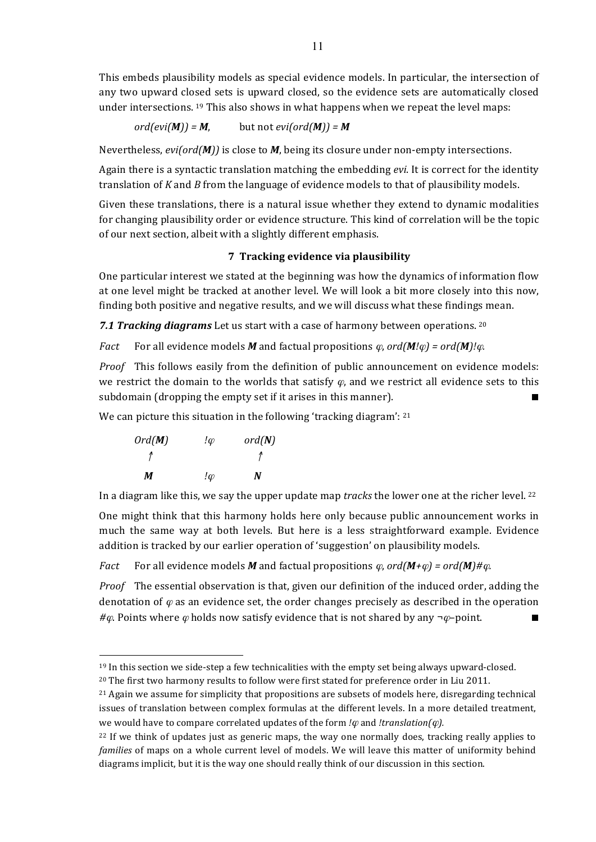This embeds plausibility models as special evidence models. In particular, the intersection of any two upward closed sets is upward closed, so the evidence sets are automatically closed under intersections.  $19$  This also shows in what happens when we repeat the level maps:

 $ord(evi(M)) = M$ , but not  $evi(ord(M)) = M$ 

Nevertheless, *evi(ord(M))* is close to *M*, being its closure under non-empty intersections.

Again there is a syntactic translation matching the embedding *evi*. It is correct for the identity translation of *K* and *B* from the language of evidence models to that of plausibility models.

Given these translations, there is a natural issue whether they extend to dynamic modalities for changing plausibility order or evidence structure. This kind of correlation will be the topic of our next section, albeit with a slightly different emphasis.

### **7 Tracking evidence via plausibility**

One particular interest we stated at the beginning was how the dynamics of information flow at one level might be tracked at another level. We will look a bit more closely into this now, finding both positive and negative results, and we will discuss what these findings mean.

**7.1 Tracking diagrams** Let us start with a case of harmony between operations. 20

*Fact* For all evidence models *M* and factual propositions  $\varphi$ , ord(*M!* $\varphi$ ) = ord(*M)!* $\varphi$ .

*Proof* This follows easily from the definition of public announcement on evidence models: we restrict the domain to the worlds that satisfy  $\varphi$ , and we restrict all evidence sets to this subdomain (dropping the empty set if it arises in this manner).  $\blacksquare$ 

We can picture this situation in the following 'tracking diagram':  $21$ 

| Ord(M) | !φ    | ord(N) |
|--------|-------|--------|
|        |       |        |
| м      | $\mu$ | N      |

 $\overline{a}$ 

In a diagram like this, we say the upper update map *tracks* the lower one at the richer level. <sup>22</sup>

One might think that this harmony holds here only because public announcement works in much the same way at both levels. But here is a less straightforward example. Evidence addition is tracked by our earlier operation of 'suggestion' on plausibility models.

*Fact* For all evidence models M and factual propositions  $\varphi$ ,  $\frac{ord(\mathbf{M}+\varphi)}{d} = \frac{ord(\mathbf{M})\# \varphi}{d}$ .

*Proof* The essential observation is that, given our definition of the induced order, adding the denotation of  $\varphi$  as an evidence set, the order changes precisely as described in the operation *#* $\varphi$ . Points where  $\varphi$  holds now satisfy evidence that is not shared by any  $\neg \varphi$ –point. ■

 $19$  In this section we side-step a few technicalities with the empty set being always upward-closed.

 $20$  The first two harmony results to follow were first stated for preference order in Liu 2011.

<sup>&</sup>lt;sup>21</sup> Again we assume for simplicity that propositions are subsets of models here, disregarding technical issues of translation between complex formulas at the different levels. In a more detailed treatment, we would have to compare correlated updates of the form  $\ell\varphi$  and  $\ell$ *translation(* $\varphi$ *).* 

 $22$  If we think of updates just as generic maps, the way one normally does, tracking really applies to *families* of maps on a whole current level of models. We will leave this matter of uniformity behind diagrams implicit, but it is the way one should really think of our discussion in this section.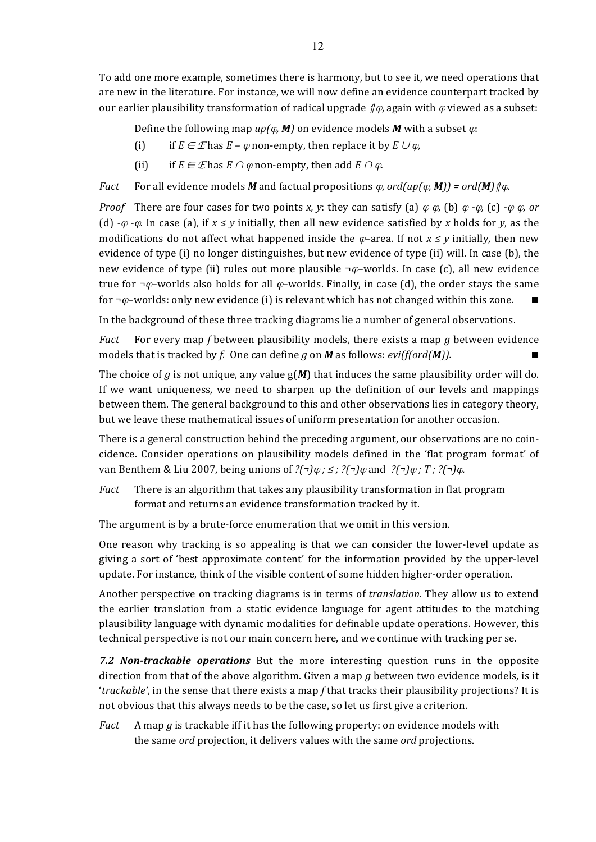To add one more example, sometimes there is harmony, but to see it, we need operations that are new in the literature. For instance, we will now define an evidence counterpart tracked by our earlier plausibility transformation of radical upgrade  $\hat{\psi}$ , again with  $\varphi$  viewed as a subset:

Define the following map  $up(\varphi, M)$  on evidence models M with a subset  $\varphi$ :

- (i) if  $E \in \mathcal{E}$  has  $E \varphi$  non-empty, then replace it by  $E \cup \varphi$ ,
- (ii) if  $E \in \mathcal{E}$  has  $E \cap \varphi$  non-empty, then add  $E \cap \varphi$ .

*Fact* For all evidence models *M* and factual propositions  $\varphi$ , ord(up( $\varphi$ , **M**)) = ord(**M**)  $\varphi$ *q*.

*Proof* There are four cases for two points *x, y*: they can satisfy (a)  $\varphi \varphi$ , (b)  $\varphi \cdot \varphi$ , (c)  $\cdot \varphi \varphi$ , or (d)  $-\varphi$  *-* $\varphi$ . In case (a), if  $x \leq y$  initially, then all new evidence satisfied by x holds for y, as the modifications do not affect what happened inside the  $\varphi$ –area. If not  $x \leq y$  initially, then new evidence of type (i) no longer distinguishes, but new evidence of type (ii) will. In case (b), the new evidence of type (ii) rules out more plausible  $\neg \varphi$ -worlds. In case (c), all new evidence true for  $\neg \varphi$ –worlds also holds for all  $\varphi$ –worlds. Finally, in case (d), the order stays the same for  $\neg \varphi$ -worlds: only new evidence (i) is relevant which has not changed within this zone.

In the background of these three tracking diagrams lie a number of general observations.

*Fact* For every map *f* between plausibility models, there exists a map *g* between evidence models that is tracked by *f*. One can define *g* on *M* as follows: *evi(f(ord(M)).* 

The choice of *g* is not unique, any value  $g(M)$  that induces the same plausibility order will do. If we want uniqueness, we need to sharpen up the definition of our levels and mappings between them. The general background to this and other observations lies in category theory, but we leave these mathematical issues of uniform presentation for another occasion.

There is a general construction behind the preceding argument, our observations are no coincidence. Consider operations on plausibility models defined in the 'flat program format' of van Benthem & Liu 2007, being unions of *?(¬)*<sup>ϕ</sup> *; ≤ ; ?(¬)*<sup>ϕ</sup> and *?(¬)*<sup>ϕ</sup> *; T ; ?(¬)*ϕ*.*

*Fact* There is an algorithm that takes any plausibility transformation in flat program format and returns an evidence transformation tracked by it.

The argument is by a brute-force enumeration that we omit in this version.

One reason why tracking is so appealing is that we can consider the lower-level update as giving a sort of 'best approximate content' for the information provided by the upper-level update. For instance, think of the visible content of some hidden higher-order operation.

Another perspective on tracking diagrams is in terms of *translation*. They allow us to extend the earlier translation from a static evidence language for agent attitudes to the matching plausibility language with dynamic modalities for definable update operations. However, this technical perspective is not our main concern here, and we continue with tracking per se.

**7.2 Non-trackable operations** But the more interesting question runs in the opposite direction from that of the above algorithm. Given a map  $q$  between two evidence models, is it *'trackable'*, in the sense that there exists a map *f* that tracks their plausibility projections? It is not obvious that this always needs to be the case, so let us first give a criterion.

*Fact* A map *g* is trackable iff it has the following property: on evidence models with the same *ord* projection, it delivers values with the same *ord* projections.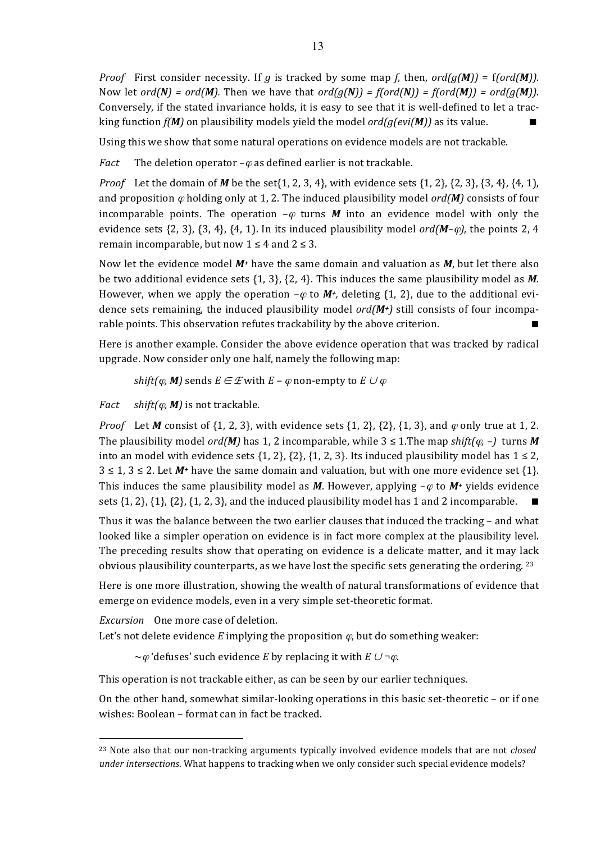*Proof* First consider necessity. If *g* is tracked by some map *f*, then,  $ord(g(M)) = f(ord(M))$ . Now let  $ord(N) = ord(M)$ . Then we have that  $ord(g(N)) = f(ord(N)) = f(ord(M)) = ord(g(M))$ . Conversely, if the stated invariance holds, it is easy to see that it is well-defined to let a tracking function  $f(M)$  on plausibility models yield the model  $ord(g(evi(M))$  as its value.

Using this we show that some natural operations on evidence models are not trackable.

*Fact* The deletion operator  $-\varphi$  as defined earlier is not trackable.

*Proof* Let the domain of *M* be the set $\{1, 2, 3, 4\}$ , with evidence sets  $\{1, 2\}$ ,  $\{2, 3\}$ ,  $\{3, 4\}$ ,  $\{4, 1\}$ , and proposition  $\varphi$  holding only at 1, 2. The induced plausibility model ord(*M*) consists of four incomparable points. The operation  $-\varphi$  turns *M* into an evidence model with only the evidence sets  $\{2, 3\}, \{3, 4\}, \{4, 1\}.$  In its induced plausibility model  $\text{ord}(M-\varphi)$ , the points 2, 4 remain incomparable, but now  $1 \leq 4$  and  $2 \leq 3$ .

Now let the evidence model  $M<sup>+</sup>$  have the same domain and valuation as  $M$ , but let there also be two additional evidence sets  $\{1, 3\}$ ,  $\{2, 4\}$ . This induces the same plausibility model as M. However, when we apply the operation  $-\varphi$  to  $M^+$ , deleting {1, 2}, due to the additional evidence sets remaining, the induced plausibility model  $ord(M<sup>+</sup>)$  still consists of four incomparable points. This observation refutes trackability by the above criterion.

Here is another example. Consider the above evidence operation that was tracked by radical upgrade. Now consider only one half, namely the following map:

*shift(* $\varphi$ *, M)* sends  $E \in \mathcal{E}$  with  $E - \varphi$  non-empty to  $E \cup \varphi$ 

*Fact shift(* $\varphi$ *, M)* is not trackable.

*Proof* Let *M* consist of  $\{1, 2, 3\}$ , with evidence sets  $\{1, 2\}$ ,  $\{2\}$ ,  $\{1, 3\}$ , and  $\varphi$  only true at 1, 2. The plausibility model *ord(M)* has 1, 2 incomparable, while  $3 \leq 1$ .The map *shift(* $\varphi$ *,* –) turns *M* into an model with evidence sets  $\{1, 2\}, \{2\}, \{1, 2, 3\}$ . Its induced plausibility model has  $1 \le 2$ ,  $3 \leq 1, 3 \leq 2$ . Let M<sup>+</sup> have the same domain and valuation, but with one more evidence set {1}. This induces the same plausibility model as *M*. However, applying  $-\varphi$  to *M+* yields evidence sets  $\{1, 2\}, \{1\}, \{2\}, \{1, 2, 3\},$  and the induced plausibility model has 1 and 2 incomparable.

Thus it was the balance between the two earlier clauses that induced the tracking – and what looked like a simpler operation on evidence is in fact more complex at the plausibility level. The preceding results show that operating on evidence is a delicate matter, and it may lack obvious plausibility counterparts, as we have lost the specific sets generating the ordering. <sup>23</sup>

Here is one more illustration, showing the wealth of natural transformations of evidence that emerge on evidence models, even in a very simple set-theoretic format.

*Excursion* One more case of deletion.

 $\overline{a}$ 

Let's not delete evidence  $E$  implying the proposition  $\varphi$ , but do something weaker:

 $\sim$  $\varphi$  'defuses' such evidence *E* by replacing it with *E*  $\cup \neg \varphi$ .

This operation is not trackable either, as can be seen by our earlier techniques.

On the other hand, somewhat similar-looking operations in this basic set-theoretic  $-$  or if one wishes: Boolean – format can in fact be tracked.

<sup>&</sup>lt;sup>23</sup> Note also that our non-tracking arguments typically involved evidence models that are not *closed under intersections*. What happens to tracking when we only consider such special evidence models?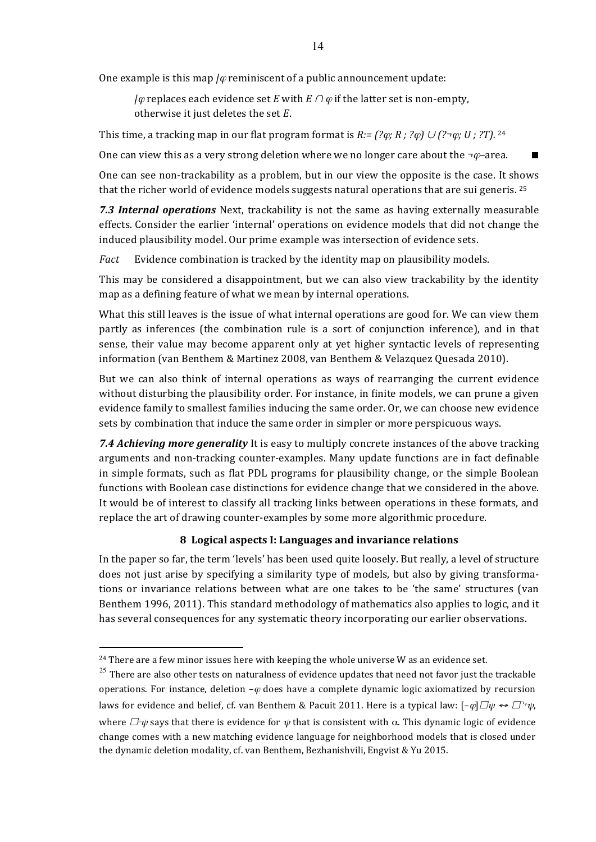One example is this map  $/\varphi$  reminiscent of a public announcement update:

*|* $\varphi$  replaces each evidence set *E* with *E* ∩  $\varphi$  if the latter set is non-empty, otherwise it just deletes the set *E*.

This time, a tracking map in our flat program format is  $R:=$  (? $\varphi$ *;*  $R$ *;* ? $\varphi$ *)*  $\cup$  (? $\neg$  $\varphi$ *;*  $U$ *;* ?T). <sup>24</sup>

One can view this as a very strong deletion where we no longer care about the  $\neg \varphi$ –area.

One can see non-trackability as a problem, but in our view the opposite is the case. It shows that the richer world of evidence models suggests natural operations that are sui generis. <sup>25</sup>

**7.3 Internal operations** Next, trackability is not the same as having externally measurable effects. Consider the earlier 'internal' operations on evidence models that did not change the induced plausibility model. Our prime example was intersection of evidence sets.

*Fact* Evidence combination is tracked by the identity map on plausibility models.

This may be considered a disappointment, but we can also view trackability by the identity map as a defining feature of what we mean by internal operations.

What this still leaves is the issue of what internal operations are good for. We can view them partly as inferences (the combination rule is a sort of conjunction inference), and in that sense, their value may become apparent only at yet higher syntactic levels of representing information (van Benthem & Martinez 2008, van Benthem & Velazquez Quesada 2010).

But we can also think of internal operations as ways of rearranging the current evidence without disturbing the plausibility order. For instance, in finite models, we can prune a given evidence family to smallest families inducing the same order. Or, we can choose new evidence sets by combination that induce the same order in simpler or more perspicuous ways.

**7.4 Achieving more generality** It is easy to multiply concrete instances of the above tracking arguments and non-tracking counter-examples. Many update functions are in fact definable in simple formats, such as flat PDL programs for plausibility change, or the simple Boolean functions with Boolean case distinctions for evidence change that we considered in the above. It would be of interest to classify all tracking links between operations in these formats, and replace the art of drawing counter-examples by some more algorithmic procedure.

#### **8 Logical aspects I: Languages and invariance relations**

In the paper so far, the term 'levels' has been used quite loosely. But really, a level of structure does not just arise by specifying a similarity type of models, but also by giving transformations or invariance relations between what are one takes to be 'the same' structures (van Benthem 1996, 2011). This standard methodology of mathematics also applies to logic, and it has several consequences for any systematic theory incorporating our earlier observations.

 $24$  There are a few minor issues here with keeping the whole universe W as an evidence set.

 $25$  There are also other tests on naturalness of evidence updates that need not favor just the trackable operations. For instance, deletion  $-\varphi$  does have a complete dynamic logic axiomatized by recursion laws for evidence and belief, cf. van Benthem & Pacuit 2011. Here is a typical law:  $[-\varphi]\Box\psi \leftrightarrow \Box^{\varphi}\psi$ , where  $\Box^{\mu}\psi$  says that there is evidence for  $\psi$  that is consistent with  $\alpha$ . This dynamic logic of evidence change comes with a new matching evidence language for neighborhood models that is closed under the dynamic deletion modality, cf. van Benthem, Bezhanishvili, Engvist & Yu 2015.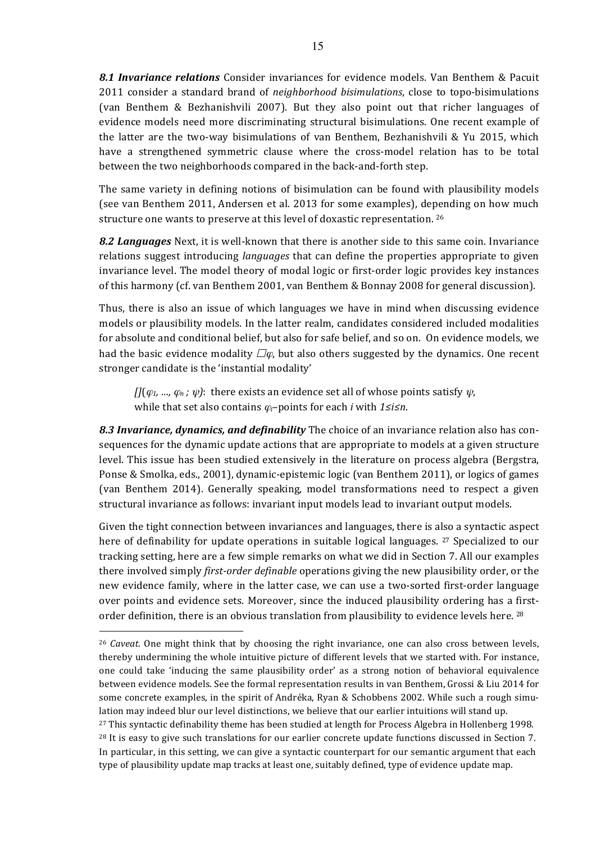**8.1 Invariance relations** Consider invariances for evidence models. Van Benthem & Pacuit 2011 consider a standard brand of *neighborhood bisimulations*, close to topo-bisimulations (van Benthem & Bezhanishvili 2007). But they also point out that richer languages of evidence models need more discriminating structural bisimulations. One recent example of the latter are the two-way bisimulations of van Benthem, Bezhanishvili & Yu 2015, which have a strengthened symmetric clause where the cross-model relation has to be total between the two neighborhoods compared in the back-and-forth step.

The same variety in defining notions of bisimulation can be found with plausibility models (see van Benthem 2011, Andersen et al. 2013 for some examples), depending on how much structure one wants to preserve at this level of doxastic representation. 26

**8.2 Languages** Next, it is well-known that there is another side to this same coin. Invariance relations suggest introducing *languages* that can define the properties appropriate to given invariance level. The model theory of modal logic or first-order logic provides key instances of this harmony (cf. van Benthem 2001, van Benthem & Bonnay 2008 for general discussion).

Thus, there is also an issue of which languages we have in mind when discussing evidence models or plausibility models. In the latter realm, candidates considered included modalities for absolute and conditional belief, but also for safe belief, and so on. On evidence models, we had the basic evidence modality  $\Box\varphi$ , but also others suggested by the dynamics. One recent stronger candidate is the 'instantial modality'

 $\iint (\varphi_1, \ldots, \varphi_n; \psi)$ : there exists an evidence set all of whose points satisfy  $\psi$ , while that set also contains  $\varphi$ *i*–points for each *i* with 1≤*i≤n*.

8.3 Invariance, dynamics, and definability The choice of an invariance relation also has consequences for the dynamic update actions that are appropriate to models at a given structure level. This issue has been studied extensively in the literature on process algebra (Bergstra, Ponse & Smolka, eds., 2001), dynamic-epistemic logic (van Benthem 2011), or logics of games (van Benthem 2014). Generally speaking, model transformations need to respect a given structural invariance as follows: invariant input models lead to invariant output models.

Given the tight connection between invariances and languages, there is also a syntactic aspect here of definability for update operations in suitable logical languages.  $27$  Specialized to our tracking setting, here are a few simple remarks on what we did in Section 7. All our examples there involved simply *first-order definable* operations giving the new plausibility order, or the new evidence family, where in the latter case, we can use a two-sorted first-order language over points and evidence sets. Moreover, since the induced plausibility ordering has a firstorder definition, there is an obvious translation from plausibility to evidence levels here.  $^{28}$ 

<sup>&</sup>lt;sup>26</sup> *Caveat*. One might think that by choosing the right invariance, one can also cross between levels, thereby undermining the whole intuitive picture of different levels that we started with. For instance, one could take 'inducing the same plausibility order' as a strong notion of behavioral equivalence between evidence models. See the formal representation results in van Benthem, Grossi & Liu 2014 for some concrete examples, in the spirit of Andréka, Ryan & Schobbens 2002. While such a rough simulation may indeed blur our level distinctions, we believe that our earlier intuitions will stand up.  $27$  This syntactic definability theme has been studied at length for Process Algebra in Hollenberg 1998. <sup>28</sup> It is easy to give such translations for our earlier concrete update functions discussed in Section 7. In particular, in this setting, we can give a syntactic counterpart for our semantic argument that each type of plausibility update map tracks at least one, suitably defined, type of evidence update map.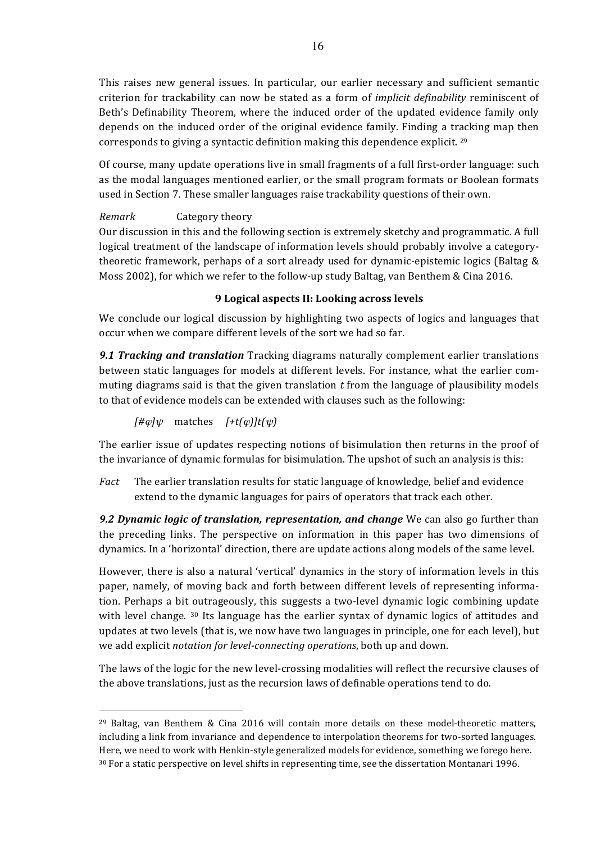This raises new general issues. In particular, our earlier necessary and sufficient semantic criterion for trackability can now be stated as a form of *implicit definability* reminiscent of Beth's Definability Theorem, where the induced order of the updated evidence family only depends on the induced order of the original evidence family. Finding a tracking map then corresponds to giving a syntactic definition making this dependence explicit. <sup>29</sup>

Of course, many update operations live in small fragments of a full first-order language: such as the modal languages mentioned earlier, or the small program formats or Boolean formats used in Section 7. These smaller languages raise trackability questions of their own.

# *Remark* **Category theory**

Our discussion in this and the following section is extremely sketchy and programmatic. A full logical treatment of the landscape of information levels should probably involve a categorytheoretic framework, perhaps of a sort already used for dynamic-epistemic logics (Baltag & Moss 2002), for which we refer to the follow-up study Baltag, van Benthem & Cina 2016.

## **9 Logical aspects II: Looking across levels**

We conclude our logical discussion by highlighting two aspects of logics and languages that occur when we compare different levels of the sort we had so far.

**9.1 Tracking and translation** Tracking diagrams naturally complement earlier translations between static languages for models at different levels. For instance, what the earlier commuting diagrams said is that the given translation  $t$  from the language of plausibility models to that of evidence models can be extended with clauses such as the following:

 $[$ # $\varphi$ *\* $\psi$  matches  $[+t(\varphi)]t(\psi)$ 

The earlier issue of updates respecting notions of bisimulation then returns in the proof of the invariance of dynamic formulas for bisimulation. The upshot of such an analysis is this:

*Fact* The earlier translation results for static language of knowledge, belief and evidence extend to the dynamic languages for pairs of operators that track each other.

**9.2 Dynamic logic of translation, representation, and change** We can also go further than the preceding links. The perspective on information in this paper has two dimensions of dynamics. In a 'horizontal' direction, there are update actions along models of the same level.

However, there is also a natural 'vertical' dynamics in the story of information levels in this paper, namely, of moving back and forth between different levels of representing information. Perhaps a bit outrageously, this suggests a two-level dynamic logic combining update with level change.  $30$  Its language has the earlier syntax of dynamic logics of attitudes and updates at two levels (that is, we now have two languages in principle, one for each level), but we add explicit *notation for level-connecting operations*, both up and down.

The laws of the logic for the new level-crossing modalities will reflect the recursive clauses of the above translations, just as the recursion laws of definable operations tend to do.

 $\overline{a}$  $^{29}$  Baltag, van Benthem & Cina 2016 will contain more details on these model-theoretic matters, including a link from invariance and dependence to interpolation theorems for two-sorted languages. Here, we need to work with Henkin-style generalized models for evidence, something we forego here. <sup>30</sup> For a static perspective on level shifts in representing time, see the dissertation Montanari 1996.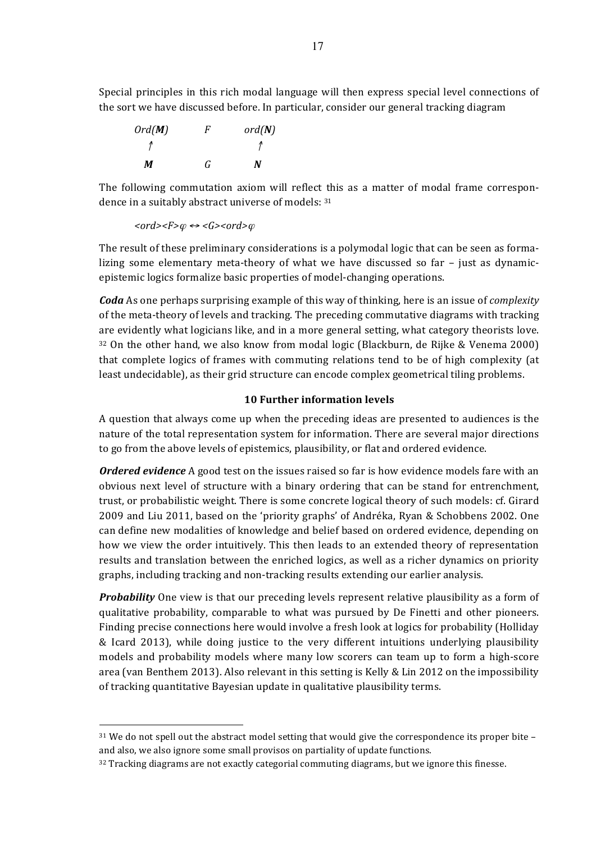Special principles in this rich modal language will then express special level connections of the sort we have discussed before. In particular, consider our general tracking diagram



The following commutation axiom will reflect this as a matter of modal frame correspondence in a suitably abstract universe of models: 31

 $<$ *ord>* $<$ *F>* $\phi$   $\leftrightarrow$  *<G><ord>* $\phi$ 

 $\overline{a}$ 

The result of these preliminary considerations is a polymodal logic that can be seen as formalizing some elementary meta-theory of what we have discussed so far - just as dynamicepistemic logics formalize basic properties of model-changing operations.

*Coda* As one perhaps surprising example of this way of thinking, here is an issue of *complexity* of the meta-theory of levels and tracking. The preceding commutative diagrams with tracking are evidently what logicians like, and in a more general setting, what category theorists love.  $32$  On the other hand, we also know from modal logic (Blackburn, de Rijke & Venema 2000) that complete logics of frames with commuting relations tend to be of high complexity (at least undecidable), as their grid structure can encode complex geometrical tiling problems.

# **10 Further information levels**

A question that always come up when the preceding ideas are presented to audiences is the nature of the total representation system for information. There are several major directions to go from the above levels of epistemics, plausibility, or flat and ordered evidence.

**Ordered evidence** A good test on the issues raised so far is how evidence models fare with an obvious next level of structure with a binary ordering that can be stand for entrenchment, trust, or probabilistic weight. There is some concrete logical theory of such models: cf. Girard 2009 and Liu 2011, based on the 'priority graphs' of Andréka, Ryan & Schobbens 2002. One can define new modalities of knowledge and belief based on ordered evidence, depending on how we view the order intuitively. This then leads to an extended theory of representation results and translation between the enriched logics, as well as a richer dynamics on priority graphs, including tracking and non-tracking results extending our earlier analysis.

*Probability* One view is that our preceding levels represent relative plausibility as a form of qualitative probability, comparable to what was pursued by De Finetti and other pioneers. Finding precise connections here would involve a fresh look at logics for probability (Holliday & Icard 2013), while doing justice to the very different intuitions underlying plausibility models and probability models where many low scorers can team up to form a high-score area (van Benthem 2013). Also relevant in this setting is Kelly & Lin 2012 on the impossibility of tracking quantitative Bayesian update in qualitative plausibility terms.

 $31$  We do not spell out the abstract model setting that would give the correspondence its proper bite – and also, we also ignore some small provisos on partiality of update functions.

 $32$  Tracking diagrams are not exactly categorial commuting diagrams, but we ignore this finesse.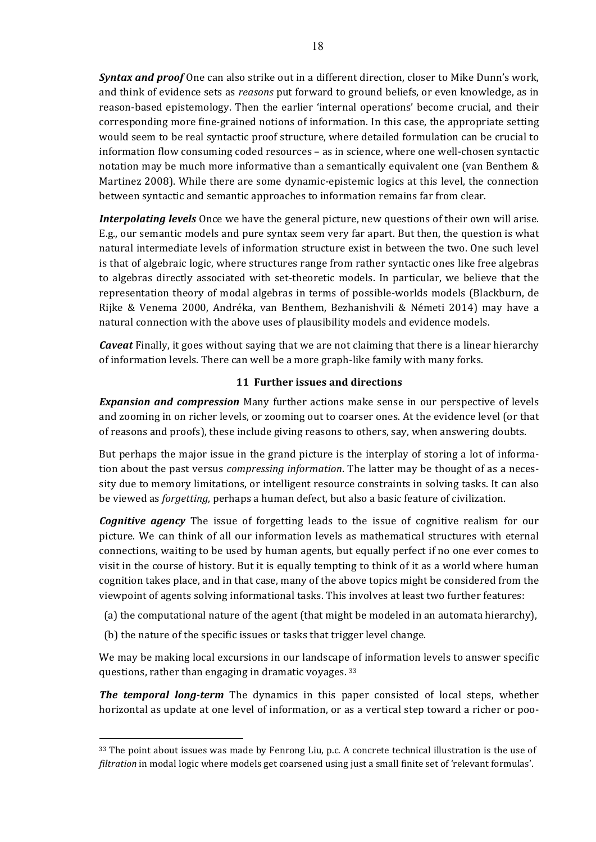*Syntax and proof* One can also strike out in a different direction, closer to Mike Dunn's work, and think of evidence sets as *reasons* put forward to ground beliefs, or even knowledge, as in reason-based epistemology. Then the earlier 'internal operations' become crucial, and their corresponding more fine-grained notions of information. In this case, the appropriate setting would seem to be real syntactic proof structure, where detailed formulation can be crucial to information flow consuming coded resources – as in science, where one well-chosen syntactic notation may be much more informative than a semantically equivalent one (van Benthem  $\&$ Martinez 2008). While there are some dynamic-epistemic logics at this level, the connection between syntactic and semantic approaches to information remains far from clear.

*Interpolating levels* Once we have the general picture, new questions of their own will arise. E.g., our semantic models and pure syntax seem very far apart. But then, the question is what natural intermediate levels of information structure exist in between the two. One such level is that of algebraic logic, where structures range from rather syntactic ones like free algebras to algebras directly associated with set-theoretic models. In particular, we believe that the representation theory of modal algebras in terms of possible-worlds models (Blackburn, de Rijke & Venema 2000, Andréka, van Benthem, Bezhanishvili & Németi 2014) may have a natural connection with the above uses of plausibility models and evidence models.

*Caveat* Finally, it goes without saying that we are not claiming that there is a linear hierarchy of information levels. There can well be a more graph-like family with many forks.

### **11 Further issues and directions**

**Expansion and compression** Many further actions make sense in our perspective of levels and zooming in on richer levels, or zooming out to coarser ones. At the evidence level (or that of reasons and proofs), these include giving reasons to others, say, when answering doubts.

But perhaps the major issue in the grand picture is the interplay of storing a lot of information about the past versus *compressing information*. The latter may be thought of as a necessity due to memory limitations, or intelligent resource constraints in solving tasks. It can also be viewed as *forgetting*, perhaps a human defect, but also a basic feature of civilization.

*Cognitive agency* The issue of forgetting leads to the issue of cognitive realism for our picture. We can think of all our information levels as mathematical structures with eternal connections, waiting to be used by human agents, but equally perfect if no one ever comes to visit in the course of history. But it is equally tempting to think of it as a world where human cognition takes place, and in that case, many of the above topics might be considered from the viewpoint of agents solving informational tasks. This involves at least two further features:

- (a) the computational nature of the agent (that might be modeled in an automata hierarchy),
- (b) the nature of the specific issues or tasks that trigger level change.

 $\overline{a}$ 

We may be making local excursions in our landscape of information levels to answer specific questions, rather than engaging in dramatic voyages.  $33$ 

**The temporal long-term** The dynamics in this paper consisted of local steps, whether horizontal as update at one level of information, or as a vertical step toward a richer or poo-

 $33$  The point about issues was made by Fenrong Liu, p.c. A concrete technical illustration is the use of *filtration* in modal logic where models get coarsened using just a small finite set of 'relevant formulas'.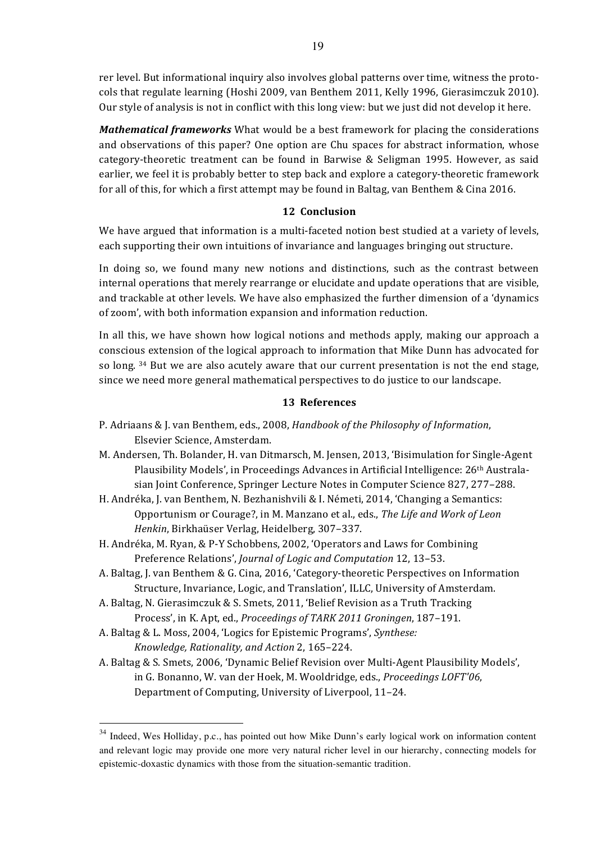rer level. But informational inquiry also involves global patterns over time, witness the protocols that regulate learning (Hoshi 2009, van Benthem 2011, Kelly 1996, Gierasimczuk 2010). Our style of analysis is not in conflict with this long view: but we just did not develop it here.

*Mathematical frameworks* What would be a best framework for placing the considerations and observations of this paper? One option are Chu spaces for abstract information, whose category-theoretic treatment can be found in Barwise & Seligman 1995. However, as said earlier, we feel it is probably better to step back and explore a category-theoretic framework for all of this, for which a first attempt may be found in Baltag, van Benthem & Cina 2016.

## 12 Conclusion

We have argued that information is a multi-faceted notion best studied at a variety of levels, each supporting their own intuitions of invariance and languages bringing out structure.

In doing so, we found many new notions and distinctions, such as the contrast between internal operations that merely rearrange or elucidate and update operations that are visible. and trackable at other levels. We have also emphasized the further dimension of a 'dynamics of zoom', with both information expansion and information reduction.

In all this, we have shown how logical notions and methods apply, making our approach a conscious extension of the logical approach to information that Mike Dunn has advocated for so long.  $34$  But we are also acutely aware that our current presentation is not the end stage, since we need more general mathematical perspectives to do justice to our landscape.

#### **13 References**

- P. Adriaans & J. van Benthem, eds., 2008, *Handbook of the Philosophy of Information*, Elsevier Science, Amsterdam.
- M. Andersen, Th. Bolander, H. van Ditmarsch, M. Jensen, 2013, 'Bisimulation for Single-Agent Plausibility Models', in Proceedings Advances in Artificial Intelligence: 26<sup>th</sup> Australasian Joint Conference, Springer Lecture Notes in Computer Science 827, 277-288.
- H. Andréka, J. van Benthem, N. Bezhanishvili & I. Németi, 2014, 'Changing a Semantics: Opportunism or Courage?, in M. Manzano et al., eds., The Life and Work of Leon Henkin, Birkhaüser Verlag, Heidelberg, 307-337.
- H. Andréka, M. Ryan, & P-Y Schobbens, 2002, 'Operators and Laws for Combining Preference Relations', *Journal of Logic and Computation* 12, 13-53.
- A. Baltag, J. van Benthem & G. Cina, 2016, 'Category-theoretic Perspectives on Information Structure, Invariance, Logic, and Translation', ILLC, University of Amsterdam.
- A. Baltag, N. Gierasimczuk & S. Smets, 2011, 'Belief Revision as a Truth Tracking Process', in K. Apt, ed., *Proceedings of TARK 2011 Groningen*, 187-191.
- A. Baltag & L. Moss, 2004, 'Logics for Epistemic Programs', *Synthese: Knowledge, Rationality, and Action* 2, 165–224.
- A. Baltag & S. Smets, 2006, 'Dynamic Belief Revision over Multi-Agent Plausibility Models', in G. Bonanno, W. van der Hoek, M. Wooldridge, eds., Proceedings LOFT'06, Department of Computing, University of Liverpool, 11-24.

<sup>&</sup>lt;sup>34</sup> Indeed, Wes Holliday, p.c., has pointed out how Mike Dunn's early logical work on information content and relevant logic may provide one more very natural richer level in our hierarchy, connecting models for epistemic-doxastic dynamics with those from the situation-semantic tradition.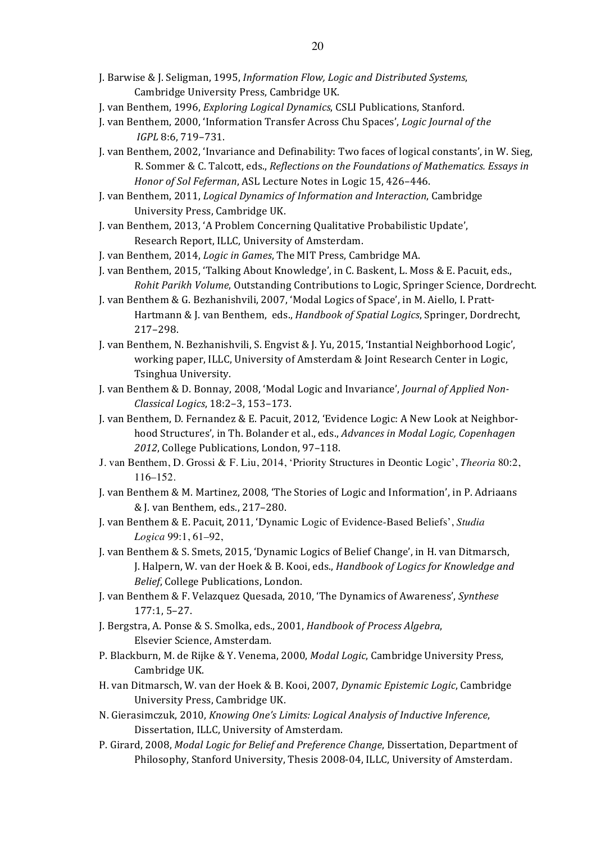- J. Barwise & J. Seligman, 1995, *Information Flow, Logic and Distributed Systems*, Cambridge University Press, Cambridge UK.
- J. van Benthem, 1996, *Exploring Logical Dynamics*, CSLI Publications, Stanford.
- J. van Benthem, 2000, 'Information Transfer Across Chu Spaces', *Logic Journal of the IGPL* 8:6, 719–731.
- J. van Benthem, 2002, 'Invariance and Definability: Two faces of logical constants', in W. Sieg, R. Sommer & C. Talcott, eds., *Reflections on the Foundations of Mathematics. Essays in Honor of Sol Feferman, ASL Lecture Notes in Logic 15, 426-446.*
- J. van Benthem, 2011, *Logical Dynamics of Information and Interaction*, Cambridge University Press, Cambridge UK.
- J. van Benthem, 2013, 'A Problem Concerning Qualitative Probabilistic Update', Research Report, ILLC, University of Amsterdam.
- J. van Benthem, 2014, *Logic in Games*, The MIT Press, Cambridge MA.
- J. van Benthem, 2015, 'Talking About Knowledge', in C. Baskent, L. Moss & E. Pacuit, eds., *Rohit Parikh Volume*, Outstanding Contributions to Logic, Springer Science, Dordrecht.
- J. van Benthem & G. Bezhanishvili, 2007, 'Modal Logics of Space', in M. Aiello, I. Pratt-Hartmann & J. van Benthem, eds., *Handbook of Spatial Logics*, Springer, Dordrecht, 217–298.
- J. van Benthem, N. Bezhanishvili, S. Engvist & J. Yu, 2015, 'Instantial Neighborhood Logic', working paper, ILLC, University of Amsterdam & Joint Research Center in Logic, Tsinghua University.
- J. van Benthem & D. Bonnay, 2008, 'Modal Logic and Invariance', *Journal of Applied Non-Classical Logics*, 18:2–3, 153–173.
- J. van Benthem, D. Fernandez & E. Pacuit, 2012, 'Evidence Logic: A New Look at Neighborhood Structures', in Th. Bolander et al., eds., *Advances in Modal Logic, Copenhagen* 2012, College Publications, London, 97-118.
- J. van Benthem, D. Grossi & F. Liu, 2014, 'Priority Structures in Deontic Logic', *Theoria* 80:2, 116–152.
- J. van Benthem & M. Martinez, 2008, 'The Stories of Logic and Information', in P. Adriaans & J. van Benthem, eds., 217-280.
- J. van Benthem & E. Pacuit, 2011, 'Dynamic Logic of Evidence-Based Beliefs', *Studia Logica* 99:1, 61–92,
- J. van Benthem & S. Smets, 2015, 'Dynamic Logics of Belief Change', in H. van Ditmarsch, J. Halpern, W. van der Hoek & B. Kooi, eds., *Handbook of Logics for Knowledge and Belief*, College Publications, London.
- J. van Benthem & F. Velazquez Quesada, 2010, 'The Dynamics of Awareness', Synthese 177:1, 5–27.
- J. Bergstra, A. Ponse & S. Smolka, eds., 2001, *Handbook of Process Algebra*, Elsevier Science, Amsterdam.
- P. Blackburn, M. de Rijke & Y. Venema, 2000, *Modal Logic*, Cambridge University Press, Cambridge UK.
- H. van Ditmarsch, W. van der Hoek & B. Kooi, 2007, *Dynamic Epistemic Logic*, Cambridge University Press, Cambridge UK.
- N. Gierasimczuk, 2010, *Knowing One's Limits: Logical Analysis of Inductive Inference*, Dissertation, ILLC, University of Amsterdam.
- P. Girard, 2008, *Modal Logic for Belief and Preference Change*, Dissertation, Department of Philosophy, Stanford University, Thesis 2008-04, ILLC, University of Amsterdam.